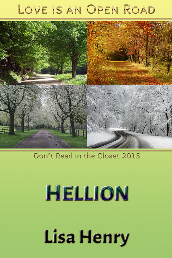# LOVE IS AN OPEN ROAD



## Don't Read in the Closet 2015

# HELLION

# **Lisa Henry**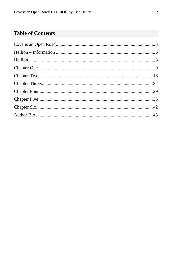## **Table of Contents**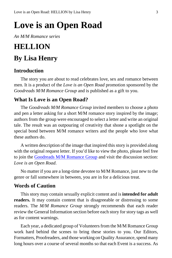# <span id="page-2-0"></span>**Love is an Open Road**

*An M/M Romance series*

## **HELLION**

## **By Lisa Henry**

#### **Introduction**

The story you are about to read celebrates love, sex and romance between men. It is a product of the *Love is an Open Road* promotion sponsored by the *Goodreads M/M Romance Group* and is published as a gift to you.

#### **What Is Love is an Open Road?**

The *Goodreads M/M Romance Group* invited members to choose a photo and pen a letter asking for a short M/M romance story inspired by the image; authors from the group were encouraged to select a letter and write an original tale. The result was an outpouring of creativity that shone a spotlight on the special bond between M/M romance writers and the people who love what these authors do.

A written description of the image that inspired this story is provided along with the original request letter. If you'd like to view the photo, please feel free to join the [Goodreads M/M Romance Group](http://www.goodreads.com/group/show/20149-m-m-romance) and visit the discussion section: *Love is an Open Road*.

No matter if you are a long-time devotee to M/M Romance, just new to the genre or fall somewhere in between, you are in for a delicious treat.

#### **Words of Caution**

This story may contain sexually explicit content and is **intended for adult readers.** It may contain content that is disagreeable or distressing to some readers. The *M/M Romance Group* strongly recommends that each reader review the General Information section before each story for story tags as well as for content warnings.

Each year, a dedicated group of Volunteers from the M/M Romance Group work hard behind the scenes to bring these stories to you. Our Editors, Formatters, Proofreaders, and those working on Quality Assurance, spend many long hours over a course of several months so that each Event is a success. As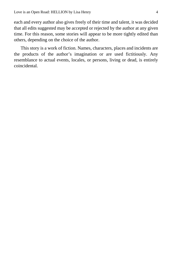each and every author also gives freely of their time and talent, it was decided that all edits suggested may be accepted or rejected by the author at any given time. For this reason, some stories will appear to be more tightly edited than others, depending on the choice of the author.

This story is a work of fiction. Names, characters, places and incidents are the products of the author's imagination or are used fictitiously. Any resemblance to actual events, locales, or persons, living or dead, is entirely coincidental.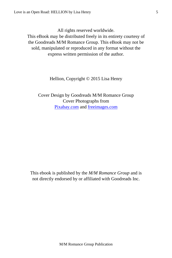All rights reserved worldwide.

This eBook may be distributed freely in its entirety courtesy of the Goodreads M/M Romance Group. This eBook may not be sold, manipulated or reproduced in any format without the express written permission of the author.

Hellion, Copyright © 2015 Lisa Henry

Cover Design by Goodreads M/M Romance Group Cover Photographs from [Pixabay.com](http://pixabay.com/en/) and [freeimages.com](http://www.freeimages.com/)

This ebook is published by the *M/M Romance Group* and is not directly endorsed by or affiliated with Goodreads Inc.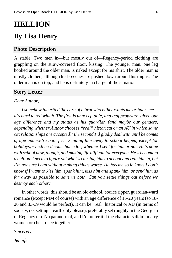# <span id="page-5-0"></span>**HELLION**

## **By Lisa Henry**

#### **Photo Description**

A stable. Two men in—but mostly out of—Regency-period clothing are grappling on the straw-covered floor, kissing. The younger man, one leg hooked around the older man, is naked except for his shirt. The older man is mostly clothed, although his breeches are pushed down around his thighs. The older man is on top, and he is definitely in charge of the situation.

#### **Story Letter**

#### *Dear Author,*

*I somehow inherited the care of a brat who either wants me or hates me it's hard to tell which. The first is unacceptable, and inappropriate, given our age difference and my status as his guardian (and maybe our genders, depending whether Author chooses "real" historical or an AU in which same sex relationships are accepted); the second I'd gladly deal with until he comes of age and we're both free. Sending him away to school helped, except for holidays, which he'd come home for, whether I sent for him or not. He's done with school now, though, and making life difficult for everyone. He's becoming a hellion. I need to figure out what's causing him to act out and rein him in, but I'm not sure I can without making things worse. He has me so in knots I don't know if I want to kiss him, spank him, kiss him and spank him, or send him as far away as possible to save us both. Can you settle things out before we destroy each other?*

In other words, this should be an old-school, bodice ripper, guardian-ward romance (except MM of course) with an age difference of 15-20 years (so 18- 20 and 33-39 would be perfect). It can be "real" historical or AU (in terms of society, not setting—earth only please), preferably set roughly in the Georgian or Regency era. No paranormal, and I'd prefer it if the characters didn't marry women or cheat once together.

*Sincerely,*

*Jennifer*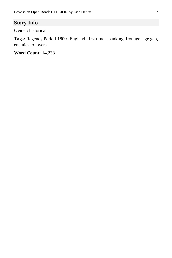### **Story Info**

**Genre:** historical

**Tags:** Regency Period-1800s England, first time, spanking, frottage, age gap, enemies to lovers

**Word Count:** 14,238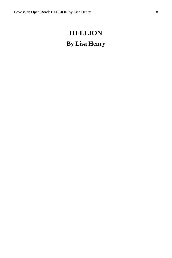# <span id="page-7-0"></span>**HELLION By Lisa Henry**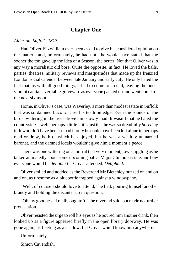#### **Chapter One**

#### <span id="page-8-0"></span>*Alderton, Suffolk, 1817*

Had Oliver Fitzwilliam ever been asked to give his considered opinion on the matter—and, unfortunately, he had not—he would have stated that the sooner the ton gave up the idea of a Season, the better. Not that Oliver was in any way a moralistic old bore. Quite the opposite, in fact. He loved the balls, parties, theatres, military reviews and masquerades that made up the frenzied London social calendar between late January and early July. He only hated the fact that, as with all good things, it had to come to an end, leaving the oncevibrant capital a veritable graveyard as everyone packed up and went home for the next six months.

Home, in Oliver's case, was Waverley, a more than modest estate in Suffolk that was so damned bucolic it set his teeth on edge. Even the sounds of the birds twittering in the trees drove him slowly mad. It wasn't that he hated the countryside—well, perhaps a little—it's just that he was so dreadfully *bored* by it. It wouldn't have been so bad if only he could have been left alone to perhaps read or draw, both of which he enjoyed, but he was a wealthy unmarried baronet, and the damned locals wouldn't give him a moment's peace.

There was one wittering on at him at that very moment, jowls jiggling as he talked animatedly about some upcoming ball at Major Clinton's estate, and how everyone would be *delighted* if Oliver attended. *Delighted*.

Oliver smiled and nodded as the Reverend Mr Bletchley buzzed on and on and on, as tiresome as a bluebottle trapped against a windowpane.

"Well, of course I should love to attend," he lied, pouring himself another brandy and holding the decanter up in question.

"Oh my goodness, I really oughtn't," the reverend said, but made no further protestation.

Oliver resisted the urge to roll his eyes as he poured him another drink, then looked up as a figure appeared briefly in the open library doorway. He was gone again, as fleeting as a shadow, but Oliver would know him anywhere.

Unfortunately.

Simon Cavendish.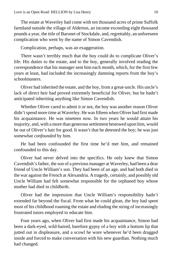The estate at Waverley had come with ten thousand acres of prime Suffolk farmland outside the village of Alderton, an income exceeding eight thousand pounds a year, the title of Baronet of Stockdale, and, regrettably, an unforeseen complication who went by the name of Simon Cavendish.

Complication, perhaps, was an exaggeration.

There wasn't terribly much that the boy could do to complicate Oliver's life. His duties to the estate, and to the boy, generally involved reading the correspondence that his manager sent him each month, which, for the first few years at least, had included the increasingly damning reports from the boy's schoolmasters.

Oliver had inherited the estate, and the boy, from a great-uncle. His uncle's lack of direct heir had proved extremely beneficial for Oliver, but he hadn't anticipated inheriting anything like Simon Cavendish.

Whether Oliver cared to admit it or not, the boy was another reason Oliver didn't spend more time at Waverley. He was fifteen when Oliver had first made his acquaintance. He was nineteen now. In two years he would attain his majority, and, with a more than generous settlement bestowed upon him, would be out of Oliver's hair for good. It wasn't that he detested the boy; he was just somewhat *confounded* by him.

He had been confounded the first time he'd met him, and remained confounded to this day.

Oliver had never delved into the specifics. He only knew that Simon Cavendish's father, the son of a previous manager at Waverley, had been a dear friend of Uncle William's son. They had been of an age, and had both died in the war against the French at Alexandria. A tragedy, certainly, and possibly old Uncle William had felt somewhat responsible for the orphaned boy whose mother had died in childbirth.

Oliver had the impression that Uncle William's responsibility hadn't extended far beyond the fiscal. From what he could glean, the boy had spent most of his childhood roaming the estate and eluding the string of increasingly frustrated tutors employed to educate him.

Four years ago, when Oliver had first made his acquaintance, Simon had been a dark-eyed, wild-haired, barefoot gypsy of a boy with a bottom lip that jutted out in displeasure, and a scowl he wore whenever he'd been dragged inside and forced to make conversation with his new guardian. Nothing much had changed.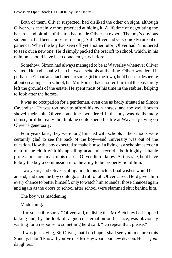Both of them, Oliver suspected, had disliked the other on sight, although Oliver was certainly more practiced at hiding it. A lifetime of negotiating the hazards and pitfalls of the ton had made Oliver an expert. The boy's obvious sullenness had been almost refreshing. Still, Oliver had very quickly run out of patience. When the boy had seen off yet another tutor, Oliver hadn't bothered to seek out a new one. He'd simply packed the brat off to school, which, in his opinion, should have been done ten years before.

Somehow, Simon had always managed to be at Waverley whenever Oliver visited. He had usually been between schools at the time. Oliver wondered if perhaps he'd had an attachment to some girl in the town, he'd been so desperate about escaping each school, but Mrs Forster had assured him that the boy rarely left the grounds of the estate. He spent most of his time in the stables, helping to look after the horses.

It was no occupation for a gentleman, even one as badly situated as Simon Cavendish. He was too poor to afford his own horses, and too well born to shovel their shit. Oliver sometimes wondered if the boy was deliberately obtuse, or if he really did think he could spend his life at Waverley living on Oliver's generosity.

Four years later, they were long finished with schools—the schools were certainly glad to see the back of the boy—and university was out of the question. How the boy expected to make himself a living as a schoolmaster or a man of the cloth with his appalling academic record—both highly suitable professions for a man of his class—Oliver didn't know. At this rate, he'd have to buy the boy a commission into the army to be properly rid of him.

Two years, and Oliver's obligation to his uncle's final wishes would be at an end, and then the boy could go and rot for all Oliver cared. He'd given him every chance to better himself, only to watch him squander those chances again and again as the doors to school after school were slammed shut behind him.

The boy was maddening.

Maddening.

"I'm so terribly sorry," Oliver said, realising that Mr Bletchley had stopped talking and, by the look of vague consternation on his face, was obviously waiting for a response to something he'd said. "Do repeat that, please."

"I was just saying, Sir Oliver, that I do hope I shall see you in church this Sunday. I don't know if you've met Mr Haywood, our new deacon. He has *four*  daughters."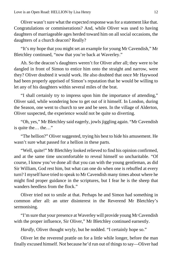Oliver wasn't sure what the expected response was for a statement like that. Congratulations or commiserations? And, while Oliver was used to having daughters of marriageable ages herded toward him on all social occasions, the daughters of a church deacon? Really?

"It's my hope that you might set an example for young Mr Cavendish," Mr Bletchley continued, "now that you're back at Waverley."

Ah. So the deacon's daughters weren't for Oliver after all; they were to be dangled in front of Simon to entice him onto the straight and narrow, were they? Oliver doubted it would work. He also doubted that once Mr Haywood had been properly apprised of Simon's reputation that he would be willing to let any of his daughters within several miles of the brat.

"I shall certainly try to impress upon him the importance of attending," Oliver said, while wondering how to get out of it himself. In London, during the Season, one went to church to see and be seen. In the village of Alderton, Oliver suspected, the experience would not be quite so diverting.

"Oh, yes," Mr Bletchley said eagerly, jowls jiggling again. "Mr Cavendish is quite the… the…"

"The hellion?" Oliver suggested, trying his best to hide his amusement. He wasn't sure what passed for a hellion in these parts.

"Well, quite!" Mr Bletchley looked relieved to find his opinion confirmed, and at the same time uncomfortable to reveal himself so uncharitable. "Of course, I know you've done all that you can with the young gentleman, as did Sir William, God rest him, but what can one do when one is rebuffed at every turn? I myself have tried to speak to Mr Cavendish many times about where he might find proper guidance in the scriptures, but I fear he is the sheep that wanders heedless from the flock."

Oliver tried not to smile at that. Perhaps he and Simon had something in common after all: an utter disinterest in the Reverend Mr Bletchley's sermonising.

"I'm sure that your presence at Waverley will provide young Mr Cavendish with the proper influence, Sir Oliver," Mr Bletchley continued earnestly.

*Hardly*, Oliver thought wryly, but he nodded. "I certainly hope so."

Oliver let the reverend prattle on for a little while longer, before the man finally excused himself. Not because he'd run out of things to say—Oliver had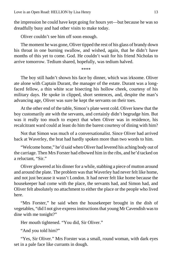the impression he could have kept going for hours yet—but because he was so dreadfully busy and had other visits to make today.

Oliver couldn't see him off soon enough.

The moment he was gone, Oliver tipped the rest of his glass of brandy down his throat in one burning swallow, and wished, again, that he didn't have months of this yet to come. God. He couldn't wait for his friend Nicholas to arrive tomorrow. Tedium shared, hopefully, was tedium halved.

\*\*\*\*

The boy still hadn't shown his face by dinner, which was irksome. Oliver ate alone with Captain Durant, the manager of the estate. Durant was a longfaced fellow, a thin white scar bisecting his hollow cheek, courtesy of his military days. He spoke in clipped, short sentences, and, despite the man's advancing age, Oliver was sure he kept the servants on their toes.

At the other end of the table, Simon's plate went cold. Oliver knew that the boy customarily ate with the servants, and certainly didn't begrudge him. But was it really too much to expect that when Oliver was in residence, his recalcitrant ward could at least do him the barest courtesy of dining with him?

Not that Simon was much of a conversationalist. Since Oliver had arrived back at Waverley, the brat had hardly spoken more than two words to him.

"Welcome home," he'd said when Oliver had levered his aching body out of the carriage. Then Mrs Forster had elbowed him in the ribs, and he'd tacked on a reluctant, "Sir."

Oliver glowered at his dinner for a while, stabbing a piece of mutton around and around the plate. The problem was that Waverley had never felt like home, and not just because it wasn't London. It had never felt like home because the housekeeper had come with the place, the servants had, and Simon had, and Oliver felt absolutely no attachment to either the place or the people who lived here.

"Mrs Forster," he said when the housekeeper brought in the dish of vegetables, "did I not give express instructions that young Mr Cavendish was to dine with me tonight?"

Her mouth tightened. "You did, Sir Oliver."

"And you told him?"

"Yes, Sir Oliver." Mrs Forster was a small, round woman, with dark eyes set in a pale face like currants in dough.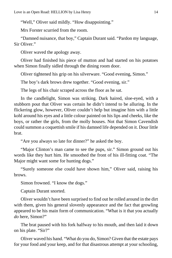"Well," Oliver said mildly. "How disappointing."

Mrs Forster scurried from the room.

"Damned nuisance, that boy," Captain Durant said. "Pardon my language, Sir Oliver."

Oliver waved the apology away.

Oliver had finished his piece of mutton and had started on his potatoes when Simon finally sidled through the dining room door.

Oliver tightened his grip on his silverware. "Good evening, Simon."

The boy's dark brows drew together. "Good evening, sir."

The legs of his chair scraped across the floor as he sat.

In the candlelight, Simon was striking. Dark haired, sloe-eyed, with a stubborn pout that Oliver was certain he didn't intend to be alluring. In the flickering glow, however, Oliver couldn't help but imagine him with a little kohl around his eyes and a little colour painted on his lips and cheeks, like the boys, or rather the girls, from the molly houses. Not that Simon Cavendish could summon a coquettish smile if his damned life depended on it. Dour little brat.

"Are you always so late for dinner?" he asked the boy.

"Major Clinton's man came to see the pups, sir." Simon ground out his words like they hurt him. He smoothed the front of his ill-fitting coat. "The Major might want some for hunting dogs."

"Surely someone else could have shown him," Oliver said, raising his brows.

Simon frowned. "I know the dogs."

Captain Durant snorted.

Oliver wouldn't have been surprised to find out he rolled around in the dirt with them, given his general slovenly appearance and the fact that growling appeared to be his main form of communication. "What is it that you actually *do* here, Simon?"

The brat paused with his fork halfway to his mouth, and then laid it down on his plate. "Sir?"

Oliver waved his hand. "What do you do, Simon? Given that the estate pays for your food and your keep, and for that disastrous attempt at your schooling,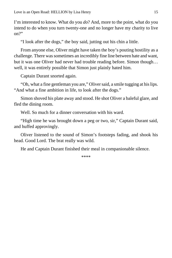I'm interested to know. What do you *do*? And, more to the point, what do you intend to do when you turn twenty-one and no longer have my charity to live on?"

"I look after the dogs," the boy said, jutting out his chin a little.

From anyone else, Oliver might have taken the boy's pouting hostility as a challenge. There was sometimes an incredibly fine line between hate and want, but it was one Oliver had never had trouble reading before. Simon though… well, it was entirely possible that Simon just plainly hated him.

Captain Durant snorted again.

"Oh, what a fine gentleman you are," Oliver said, a smile tugging at his lips. "And what a fine ambition in life, to look after the dogs."

Simon shoved his plate away and stood. He shot Oliver a baleful glare, and fled the dining room.

Well. So much for a dinner conversation with his ward.

"High time he was brought down a peg or two, sir," Captain Durant said, and huffed approvingly.

Oliver listened to the sound of Simon's footsteps fading, and shook his head. Good Lord. The brat really was wild.

He and Captain Durant finished their meal in companionable silence.

\*\*\*\*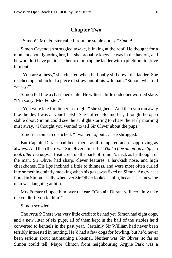#### **Chapter Two**

<span id="page-15-0"></span>"Simon!" Mrs Forster called from the stable doors. "*Simon*!"

Simon Cavendish struggled awake, blinking at the roof. He thought for a moment about ignoring her, but she probably knew he was in the hayloft, and he wouldn't have put it past her to climb up the ladder with a pitchfork to drive him out.

"You are a mess," she clucked when he finally slid down the ladder. She reached up and picked a piece of straw out of his wild hair. "Simon, what did we say?"

Simon felt like a chastened child. He wilted a little under her worried stare. "I'm sorry, Mrs Forster."

"You were late for dinner last night," she sighed. "And then you ran away like the devil was at your heels!" She huffed. Behind her, through the open stable door, Simon could see the sunlight starting to chase the early morning mist away. "I thought you wanted to tell Sir Oliver about the pups."

Simon's stomach clenched. "I wanted to, but…" He shrugged.

But Captain Durant had been there, as ill-tempered and disapproving as always. And then there was Sir Oliver himself: *"What a fine ambition in life, to look after the dogs."* Heat crept up the back of Simon's neck as he thought of the man. Sir Oliver had sharp, clever features, a hawkish nose, and high cheekbones. His lips inclined a little to thinness, and were most often curled into something faintly mocking when his gaze was fixed on Simon. Angry heat flared in Simon's belly whenever Sir Oliver looked at him, because he knew the man was laughing at him.

Mrs Forster clipped him over the ear. "Captain Durant will certainly take the credit, if you let him!"

Simon scowled.

The *credit*? There was very little credit to be had yet. Simon had eight dogs, and a new litter of six pups, all of them kept in the half of the stables he'd converted to kennels in the past year. Certainly Sir William had never been terribly interested in hunting. He'd had a few dogs for fowling, but he'd never been serious about maintaining a kennel. Neither was Sir Oliver, so far as Simon could tell. Major Clinton from neighbouring Argyle Park was a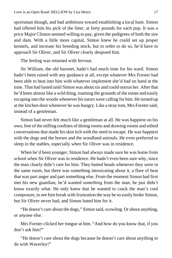sportsman though, and had ambitions toward establishing a local hunt. Simon had offered him his pick of the litter, at forty pounds for each pup. It was a price Major Clinton seemed willing to pay, given the pedigrees of both the sire and dam. With a little more capital, Simon knew he could set up proper kennels, and increase his breeding stock, but in order to do so, he'd have to approach Sir Oliver, and Sir Oliver clearly despised him.

The feeling was returned with fervour.

Sir William, the old baronet, hadn't had much time for his ward. Simon hadn't been raised with any guidance at all, except whatever Mrs Forster had been able to beat into him with whatever implement she'd had on hand at the time. That had lasted until Simon was about six and could outrun her. After that he'd been almost like a wild thing, roaming the grounds of the estate and easily escaping into the woods whenever his tutors were calling for him. He turned up at the kitchen door whenever he was hungry. Like a stray tom, Mrs Forster said, instead of a gentleman.

Simon had never felt much like a gentleman at all. He was happiest on his own, free of the stifling confines of dining rooms and drawing rooms and stilted conversations that made his skin itch with the need to escape. He was happiest with the dogs and the horses and the woodland animals. He even preferred to sleep in the stables, especially when Sir Oliver was in residence.

When he'd been younger, Simon had always made sure he was home from school when Sir Oliver was in residence. He hadn't even been sure why, since the man clearly didn't care for him. They butted heads whenever they were in the same room, but there was something intoxicating about it, a flare of heat that was part anger and part something else. From the moment Simon had first met his new guardian, he'd wanted *something* from the man, he just didn't know exactly what. He only knew that he wanted to crack the man's cool composure, to see him break with frustration the way he so easily broke Simon, but Sir Oliver never had, and Simon hated him for it.

"He doesn't care about the dogs," Simon said, scowling. Or about anything, or *anyone* else.

Mrs Forster clicked her tongue at him. "And how do you know that, if you don't ask him?"

"He doesn't care about the dogs because he doesn't care about anything to do with Waverley!"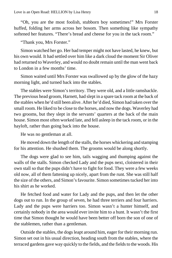"Oh, you are the most foolish, stubborn boy sometimes!" Mrs Forster huffed, folding her arms across her bosom. Then something like sympathy softened her features. "There's bread and cheese for you in the tack room."

"Thank you, Mrs Forster."

Simon watched her go. Her bad temper might not have lasted, he knew, but his own would. It had settled over him like a dark cloud the moment Sir Oliver had returned to Waverley, and would no doubt remain until the man went back to London in a few months' time.

Simon waited until Mrs Forster was swallowed up by the glow of the hazy morning light, and turned back into the stables.

The stables were Simon's territory. They were old, and a little ramshackle. The previous head groom, Harnett, had slept in a spare tack room at the back of the stables when he'd still been alive. After he'd died, Simon had taken over the small room. He liked to be close to the horses, and now the dogs. Waverley had two grooms, but they slept in the servants' quarters at the back of the main house. Simon most often worked late, and fell asleep in the tack room, or in the hayloft, rather than going back into the house.

He was no gentleman at all.

He moved down the length of the stalls, the horses whickering and stamping for his attention. He shushed them. The grooms would be along shortly.

The dogs were glad to see him, tails wagging and thumping against the walls of the stalls. Simon checked Lady and the pups next, cloistered in their own stall so that the pups didn't have to fight for food. They were a few weeks old now, all of them fattening up nicely, apart from the runt. She was still half the size of the others, and Simon's favourite. Simon sometimes tucked her into his shirt as he worked.

He fetched food and water for Lady and the pups, and then let the other dogs out to run. In the group of seven, he had three terriers and four harriers. Lady and the pups were harriers too. Simon wasn't a hunter himself, and certainly nobody in the area would ever invite him to a hunt. It wasn't the first time that Simon thought he would have been better off born the son of one of the stablemen, rather than a gentleman.

Outside the stables, the dogs leapt around him, eager for their morning run. Simon set out in his usual direction, heading south from the stables, where the terraced gardens gave way quickly to the fields, and the fields to the woods. His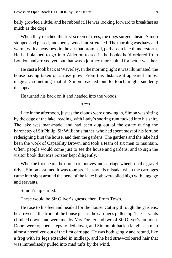belly growled a little, and he rubbed it. He was looking forward to breakfast as much as the dogs.

When they reached the first screen of trees, the dogs surged ahead. Simon stopped and pissed, and then yawned and stretched. The morning was hazy and warm, with a heaviness in the air that promised, perhaps, a late thunderstorm. He had planned to go into Alderton to see if the books he'd ordered from London had arrived yet, but that was a journey more suited for better weather.

He cast a look back at Waverley. In the morning light it was illuminated, the house having taken on a rosy glow. From this distance it appeared almost magical, something that if Simon reached out to touch might suddenly disappear.

He turned his back on it and headed into the woods.

\*\*\*\*

Late in the afternoon, just as the clouds were drawing in, Simon was sitting by the edge of the lake, reading, with Lady's snoring runt tucked into his shirt. The lake was man-made, and had been dug out of the estate during the baronetcy of Sir Philip, Sir William's father, who had spent most of his fortune redesigning first the house, and then the gardens. The gardens and the lake had been the work of Capability Brown, and took a team of six men to maintain. Often, people would come just to see the house and gardens, and to sign the visitor book that Mrs Forster kept diligently.

When he first heard the crunch of hooves and carriage wheels on the gravel drive, Simon assumed it was tourists. He saw his mistake when the carriages came into sight around the bend of the lake: both were piled high with luggage and servants.

Simon's lip curled.

These would be Sir Oliver's guests, then. From Town.

He rose to his feet and headed for the house. Cutting through the gardens, he arrived at the front of the house just as the carriages pulled up. The servants climbed down, and were met by Mrs Forster and two of Sir Oliver's footmen. Doors were opened, steps folded down, and Simon bit back a laugh as a man almost nosedived out of the first carriage. He was both gangly and rotund, like a frog with its legs extended in midleap, and he had straw-coloured hair that was immediately pulled into mad tufts by the wind.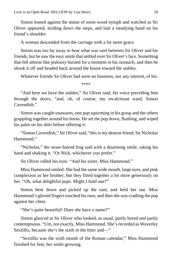Simon leaned against the statue of some wood nymph and watched as Sir Oliver appeared, striding down the steps, and laid a steadying hand on his friend's shoulder.

A woman descended from the carriage with a lot more grace.

Simon was too far away to hear what was said between Sir Oliver and his friends, but he saw the easy smile that settled over Sir Oliver's face. Something that felt almost like jealousy burned for a moment in his stomach, and then he shook it off and headed back around the house toward the stables.

Whatever friends Sir Oliver had were no business, nor any interest, of his.

\*\*\*\*

"And here we have the stables," Sir Oliver said, his voice preceding him through the doors, "and, oh, of course, my recalcitrant ward, Simon Cavendish."

Simon was caught unawares, one pup squirming in his grasp and the others grappling together around his boots. He set the pup down, flushing, and wiped his palm on his shirt before offering it.

"Simon Cavendish," Sir Oliver said, "this is my dearest friend, Sir Nicholas Hammond."

"Nicholas," the straw-haired frog said with a disarming smile, taking his hand and shaking it. "Or Nick, whichever you prefer."

Sir Oliver rolled his eyes. "And his sister, Miss Hammond."

Miss Hammond smiled. She had the same wide mouth, large eyes, and pink complexion as her brother, but they fitted together a lot more generously on her. "Oh, what delightful pups. Might I hold one?"

Simon bent down and picked up the runt, and held her out. Miss Hammond's gloved fingers touched his own, and then she was cradling the pup against her chest.

"She's quite beautiful! Does she have a name?"

Simon glanced at Sir Oliver who looked, as usual, partly bored and partly contemptuous. "Um, not exactly, Miss Hammond. She's recorded as Waverley Sextillis, because she's the sixth in the litter and—"

"Sextillis was the sixth month of the Roman calendar," Miss Hammond finished for him, her smile growing.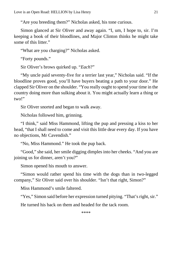"Are you breeding them?" Nicholas asked, his tone curious.

Simon glanced at Sir Oliver and away again. "I, um, I hope to, sir. I'm keeping a book of their bloodlines, and Major Clinton thinks he might take some of this litter."

"What are you charging?" Nicholas asked.

"Forty pounds."

Sir Oliver's brows quirked up. "*Each*?"

"My uncle paid seventy-five for a terrier last year," Nicholas said. "If the bloodline proves good, you'll have buyers beating a path to your door." He clapped Sir Oliver on the shoulder. "You really ought to spend your time in the country doing more than sulking about it. You might actually learn a thing or two!"

Sir Oliver snorted and began to walk away.

Nicholas followed him, grinning.

"I think," said Miss Hammond, lifting the pup and pressing a kiss to her head, "that I shall need to come and visit this little dear every day. If you have no objections, Mr Cavendish."

"No, Miss Hammond." He took the pup back.

"Good," she said, her smile digging dimples into her cheeks. "And you are joining us for dinner, aren't you?"

Simon opened his mouth to answer.

"Simon would rather spend his time with the dogs than in two-legged company," Sir Oliver said over his shoulder. "Isn't that right, Simon?"

Miss Hammond's smile faltered.

"Yes," Simon said before her expression turned pitying. "That's right, sir."

He turned his back on them and headed for the tack room.

\*\*\*\*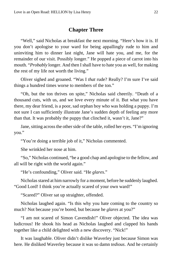#### **Chapter Three**

<span id="page-21-0"></span>"Well," said Nicholas at breakfast the next morning. "Here's how it is. If you don't apologise to your ward for being appallingly rude to him and uninviting him to dinner last night, Jane will hate you, and me, for the remainder of our visit. Possibly longer." He popped a piece of carrot into his mouth. "*Probably* longer. And then I shall have to hate you as well, for making the rest of my life not worth the living."

Oliver sighed and groaned. "Was I *that* rude? Really? I'm sure I've said things a hundred times worse to members of the ton."

"Oh, but the ton thrives on spite," Nicholas said cheerily. "Death of a thousand cuts, with us, and we love every minute of it. But what you have there, my dear friend, is a poor, sad orphan boy who was holding a puppy. I'm not sure I can sufficiently illustrate Jane's sudden depth of feeling any more than that. It was probably the puppy that clinched it, wasn't it, Jane?"

Jane, sitting across the other side of the table, rolled her eyes. "I'm ignoring you."

"You're doing a terrible job of it," Nicholas commented.

She wrinkled her nose at him.

"So," Nicholas continued, "be a good chap and apologise to the fellow, and all will be right with the world again."

"He's confounding," Oliver said. "He *glares*."

Nicholas stared at him narrowly for a moment, before he suddenly laughed. "Good Lord! I think you're actually scared of your own ward!"

"Scared?" Oliver sat up straighter, offended.

Nicholas laughed again. "Is this why you hate coming to the country so much? Not because you're bored, but because he *glares* at you?"

"I am not scared of Simon Cavendish!" Oliver objected. The idea was ludicrous! He shook his head as Nicholas laughed and clapped his hands together like a child delighted with a new discovery. "Nick!"

It was laughable. Oliver didn't dislike Waverley just because Simon was here. He disliked Waverley because it was so damn *tedious*. And he certainly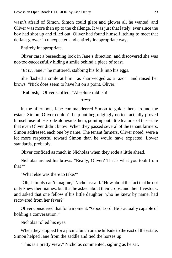wasn't afraid of Simon. Simon could glare and glower all he wanted, and Oliver was more than up to the challenge. It was just that lately, ever since the boy had shot up and filled out, Oliver had found himself itching to meet that defiant glower in unexpected and entirely inappropriate ways.

Entirely inappropriate.

Oliver cast a beseeching look in Jane's direction, and discovered she was not-too-successfully hiding a smile behind a piece of toast.

"*Et tu*, Jane?" he muttered, stabbing his fork into his eggs.

She flashed a smile at him—as sharp-edged as a razor—and raised her brows. "Nick does seem to have hit on a point, Oliver."

"Rubbish," Oliver scoffed. "Absolute rubbish!"

\*\*\*\*

In the afternoon, Jane commandeered Simon to guide them around the estate. Simon, Oliver couldn't help but begrudgingly notice, actually proved himself useful. He rode alongside them, pointing out little features of the estate that even Oliver didn't know. When they passed several of the tenant farmers, Simon addressed each one by name. The tenant farmers, Oliver noted, were a lot more respectful toward Simon than he would have expected. Lower standards, probably.

Oliver confided as much in Nicholas when they rode a little ahead.

Nicholas arched his brows. "Really, Oliver? That's what you took from that?"

"What else was there to take?"

"Oh, I simply can't imagine," Nicholas said. "How about the fact that he not only knew their names, but that he asked about their crops, and their livestock, and asked that one fellow if his little daughter, who he knew by name, had recovered from her fever?"

Oliver considered that for a moment. "Good Lord. He's actually capable of holding a conversation."

Nicholas rolled his eyes.

When they stopped for a picnic lunch on the hillside to the east of the estate, Simon helped Jane from the saddle and tied the horses up.

"This is a pretty view," Nicholas commented, sighing as he sat.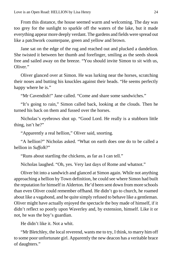From this distance, the house seemed warm and welcoming. The day was too grey for the sunlight to sparkle off the waters of the lake, but it made everything appear more deeply verdant. The gardens and fields were spread out like a patchwork counterpane, green and yellow and brown.

Jane sat on the edge of the rug and reached out and plucked a dandelion. She twisted it between her thumb and forefinger, smiling as the seeds shook free and sailed away on the breeze. "You should invite Simon to sit with us, Oliver."

Oliver glanced over at Simon. He was lurking near the horses, scratching their noses and butting his knuckles against their heads. "He seems perfectly happy where he is."

"Mr Cavendish!" Jane called. "Come and share some sandwiches."

"It's going to rain," Simon called back, looking at the clouds. Then he turned his back on them and fussed over the horses.

Nicholas's eyebrows shot up. "Good Lord. He really is a stubborn little thing, isn't he?"

"Apparently a real hellion," Oliver said, snorting.

"A hellion?" Nicholas asked. "What on earth does one do to be called a hellion in *Suffolk*?"

"Runs about startling the chickens, as far as I can tell."

Nicholas laughed. "Oh, yes. Very last days of Rome and whatnot."

Oliver bit into a sandwich and glanced at Simon again. While not anything approaching a hellion by Town definition, he could see where Simon had built the reputation for himself in Alderton. He'd been sent down from more schools than even Oliver could remember offhand. He didn't go to church, he roamed about like a vagabond, and he quite simply refused to behave like a gentleman. Oliver might have actually enjoyed the spectacle the boy made of himself, if it didn't reflect so poorly upon Waverley and, by extension, himself. Like it or not, he was the boy's guardian.

He didn't like it. Not a whit.

"Mr Bletchley, the local reverend, wants me to try, I think, to marry him off to some poor unfortunate girl. Apparently the new deacon has a veritable brace of daughters."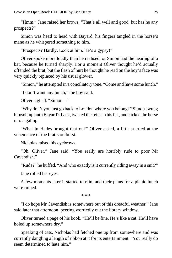"Hmm." Jane raised her brows. "That's all well and good, but has he any prospects?"

Simon was head to head with Bayard, his fingers tangled in the horse's mane as he whispered something to him.

"Prospects? Hardly. Look at him. He's a gypsy!"

Oliver spoke more loudly than he realised, or Simon had the hearing of a bat, because he turned sharply. For a moment Oliver thought he'd actually offended the brat, but the flash of hurt he thought he read on the boy's face was very quickly replaced by his usual glower.

"Simon," he attempted in a conciliatory tone. "Come and have some lunch."

"I don't want any lunch," the boy said.

Oliver sighed. "Simon—"

"Why don't you just go back to London where you belong?" Simon swung himself up onto Bayard's back, twisted the reins in his fist, and kicked the horse into a gallop.

"What in Hades brought that on?" Oliver asked, a little startled at the vehemence of the brat's outburst.

Nicholas raised his eyebrows.

"Oh, Oliver," Jane said. "You really are horribly rude to poor Mr Cavendish."

"Rude?" he huffed. "And who exactly is it currently riding away in a snit?"

Jane rolled her eyes.

A few moments later it started to rain, and their plans for a picnic lunch were ruined.

\*\*\*\*

"I do hope Mr Cavendish is somewhere out of this dreadful weather," Jane said later that afternoon, peering worriedly out the library window.

Oliver turned a page of his book. "He'll be fine. He's like a cat. He'll have holed up somewhere dry."

Speaking of cats, Nicholas had fetched one up from somewhere and was currently dangling a length of ribbon at it for its entertainment. "You really do seem determined to hate him."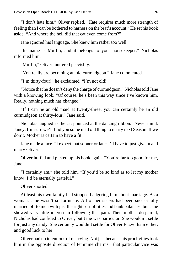"I don't hate him," Oliver replied. "Hate requires much more strength of feeling than I can be bothered to harness on the brat's account." He set his book aside. "And where the hell did that cat even come from?"

Jane ignored his language. She knew him rather too well.

"Its name is Muffin, and it belongs to your housekeeper," Nicholas informed him.

"Muffin," Oliver muttered peevishly.

"You really are becoming an old curmudgeon," Jane commented.

"I'm thirty-four!" he exclaimed. "I'm not old!"

"Notice that he doesn't deny the charge of curmudgeon," Nicholas told Jane with a knowing look. "Of course, he's been this way since I've known him. Really, nothing much has changed."

"If I can be an old maid at twenty-three, you can certainly be an old curmudgeon at thirty-four," Jane said.

Nicholas laughed as the cat pounced at the dancing ribbon. "Never mind, Janey, I'm sure we'll find you some mad old thing to marry next Season. If we don't, Mother is certain to have a fit."

Jane made a face. "I expect that sooner or later I'll have to just give in and marry Oliver."

Oliver huffed and picked up his book again. "You're far too good for me, Jane."

"I certainly am," she told him. "If you'd be so kind as to let my mother know, I'd be eternally grateful."

Oliver snorted.

At least his own family had stopped badgering him about marriage. As a woman, Jane wasn't so fortunate. All of her sisters had been successfully married off to men with just the right sort of titles and bank balances, but Jane showed very little interest in following that path. Their mother despaired, Nicholas had confided to Oliver, but Jane was particular. She wouldn't settle for just any dandy. She certainly wouldn't settle for Oliver Fitzwilliam either, and good luck to her.

Oliver had no intentions of marrying. Not just because his proclivities took him in the opposite direction of feminine charms—that particular vice was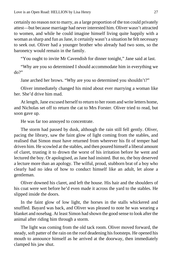certainly no reason not to marry, as a large proportion of the ton could privately attest—but because marriage had never interested him. Oliver wasn't attracted to women, and while he could imagine himself living quite happily with a woman as sharp and fun as Jane, it certainly wasn't a situation he felt necessary to seek out. Oliver had a younger brother who already had two sons, so the baronetcy would remain in the family.

"You ought to invite Mr Cavendish for dinner tonight," Jane said at last.

"Why are you so determined I should accommodate him in everything we  $d\Omega$ <sup>?</sup>

Jane arched her brows. "Why are you so determined you shouldn't?"

Oliver immediately changed his mind about ever marrying a woman like her. She'd drive him mad.

At length, Jane excused herself to return to her room and write letters home, and Nicholas set off to return the cat to Mrs Forster. Oliver tried to read, but soon gave up.

He was far too annoyed to concentrate.

The storm had passed by dusk, although the rain still fell gently. Oliver, pacing the library, saw the faint glow of light coming from the stables, and realised that Simon must have returned from wherever his fit of temper had driven him. He scowled at the stables, and then poured himself a liberal amount of claret, trusting it to drown the worst of his irritation before he went and lectured the boy. Or apologised, as Jane had insisted. But no, the boy deserved a lecture more than an apology. The wilful, proud, stubborn brat of a boy who clearly had no idea of how to conduct himself like an adult, let alone a gentleman.

Oliver downed his claret, and left the house. His hair and the shoulders of his coat were wet before he'd even made it across the yard to the stables. He slipped inside the doors.

In the faint glow of low light, the horses in the stalls whickered and snuffled. Bayard was back, and Oliver was pleased to note he was wearing a blanket and nosebag. At least Simon had shown the good sense to look after the animal after riding him through a storm.

The light was coming from the old tack room. Oliver moved forward, the steady, soft patter of the rain on the roof deadening his footsteps. He opened his mouth to announce himself as he arrived at the doorway, then immediately clamped his jaw shut.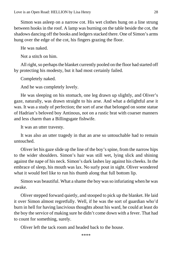Simon was asleep on a narrow cot. His wet clothes hung on a line strung between hooks in the roof. A lamp was burning on the table beside the cot, the shadows dancing off the books and ledgers stacked there. One of Simon's arms hung over the edge of the cot, his fingers grazing the floor.

He was naked.

Not a stitch on him.

All right, so perhaps the blanket currently pooled on the floor had started off by protecting his modesty, but it had most certainly failed.

Completely naked.

And he was completely lovely.

He was sleeping on his stomach, one leg drawn up slightly, and Oliver's gaze, naturally, was drawn straight to his arse. And what a delightful arse it was. It was a study of perfection; the sort of arse that belonged on some statue of Hadrian's beloved boy Antinous, not on a rustic brat with coarser manners and less charm than a Billingsgate fishwife.

It was an utter travesty.

It was also an utter tragedy in that an arse so untouchable had to remain untouched.

Oliver let his gaze slide up the line of the boy's spine, from the narrow hips to the wider shoulders. Simon's hair was still wet, lying slick and shining against the nape of his neck. Simon's dark lashes lay against his cheeks. In the embrace of sleep, his mouth was lax. No surly pout in sight. Oliver wondered what it would feel like to run his thumb along that full bottom lip.

Simon was beautiful. What a shame the boy was so infuriating when he was awake.

Oliver stepped forward quietly, and stooped to pick up the blanket. He laid it over Simon almost regretfully. Well, if he was the sort of guardian who'd burn in hell for having lascivious thoughts about his ward, he could at least do the boy the service of making sure he didn't come down with a fever. That had to count for something, surely.

Oliver left the tack room and headed back to the house.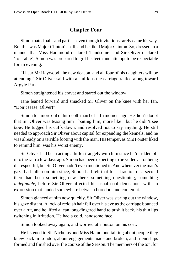#### **Chapter Four**

<span id="page-28-0"></span>Simon hated balls and parties, even though invitations rarely came his way. But this was Major Clinton's ball, and he liked Major Clinton. So, dressed in a manner that Miss Hammond declared 'handsome' and Sir Oliver declared 'tolerable', Simon was prepared to grit his teeth and attempt to be respectable for an evening.

"I hear Mr Haywood, the new deacon, and all four of his daughters will be attending," Sir Oliver said with a smirk as the carriage rattled along toward Argyle Park.

Simon straightened his cravat and stared out the window.

Jane leaned forward and smacked Sir Oliver on the knee with her fan. "Don't tease, Oliver!"

Simon felt more out of his depth than he had a moment ago. He didn't doubt that Sir Oliver was teasing him—baiting him, more like—but he didn't see *how*. He tugged his cuffs down, and resolved not to say anything. He still needed to approach Sir Oliver about capital for expanding the kennels, and he was already on a terrible footing with the man. His temper, as Mrs Forster liked to remind him, was his worst enemy.

Sir Oliver had been acting a little strangely with him since he'd ridden off into the rain a few days ago. Simon had been expecting to be yelled at for being disrespectful, but Sir Oliver hadn't even mentioned it. And whenever the man's gaze had fallen on him since, Simon had felt that for a fraction of a second there had been something new there, something questioning, something *indefinable*, before Sir Oliver affected his usual cool demeanour with an expression that landed somewhere between boredom and contempt.

Simon glanced at him now quickly. Sir Oliver was staring out the window, his gaze distant. A lock of reddish hair fell over his eye as the carriage bounced over a rut, and he lifted a lean long-fingered hand to push it back, his thin lips twitching in irritation. He had a cold, handsome face.

Simon looked away again, and worried at a button on his coat.

He listened to Sir Nicholas and Miss Hammond talking about people they knew back in London, about engagements made and broken, and friendships formed and finished over the course of the Season. The members of the ton, for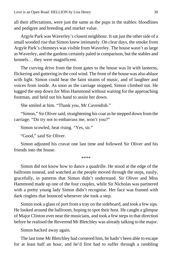all their affectations, were just the same as the pups in the stables: bloodlines and pedigree and breeding and market value.

Argyle Park was Waverley's closest neighbour. It sat just the other side of a small wooded rise that Simon knew intimately. On clear days, the smoke from Argyle Park's chimneys was visible from Waverley. The house wasn't as large as Waverley, and the gardens certainly paled in comparison, but the stables and kennels… they were magnificent.

The curving drive from the front gates to the house was lit with lanterns, flickering and guttering in the cool wind. The front of the house was also ablaze with light. Simon could hear the faint strains of music, and of laughter and voices from inside. As soon as the carriage stopped, Simon climbed out. He tugged the step down for Miss Hammond without waiting for the approaching footman, and held out his hand to assist her down.

She smiled at him. "Thank you, Mr Cavendish."

"Simon," Sir Oliver said, straightening his coat as he stepped down from the carriage. "Do try not to embarrass me, won't you?"

Simon scowled, heat rising. "Yes, sir."

"Good," said Sir Oliver.

Simon adjusted his cravat one last time and followed Sir Oliver and his friends into the house.

\*\*\*\*

Simon did not know how to dance a quadrille. He stood at the edge of the ballroom instead, and watched as the people moved through the steps, easily, gracefully, in patterns that Simon didn't understand. Sir Oliver and Miss Hammond made up one of the four couples, while Sir Nicholas was partnered with a pretty young lady Simon didn't recognise. Her face was framed with dark ringlets that bounced whenever she took a step.

Simon took a glass of port from a tray on the sideboard, and took a few sips. He looked around the ballroom, hoping to spot their host. He caught a glimpse of Major Clinton over near the musicians, and took a few steps in that direction before he realised the Reverend Mr Bletchley was already talking to the major.

Simon backed away again.

The last time Mr Bletchley had cornered him, he hadn't been able to escape for at least half an hour, and he'd first had to suffer through a rambling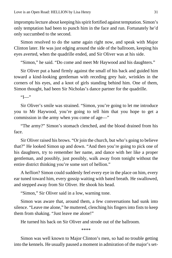impromptu lecture about keeping his spirit fortified against temptation. Simon's only temptation had been to punch him in the face and run. Fortunately he'd only succumbed to the second.

Simon resolved to do the same again right now, and speak with Major Clinton later. He was just edging around the side of the ballroom, keeping his eyes averted, when the quadrille ended, and Sir Oliver was at his side.

"Simon," he said. "Do come and meet Mr Haywood and his daughters."

Sir Oliver put a hand firmly against the small of his back and guided him toward a kind-looking gentleman with receding grey hair, wrinkles in the corners of his eyes, and a knot of girls standing behind him. One of them, Simon thought, had been Sir Nicholas's dance partner for the quadrille.

 $T$ "

Sir Oliver's smile was strained. "Simon, you're going to let me introduce you to Mr Haywood, you're going to tell him that you hope to get a commission in the army when you come of age—"

"The army?" Simon's stomach clenched, and the blood drained from his face.

Sir Oliver raised his brows. "Or join the church, but who's going to believe that?" He looked Simon up and down. "And then you're going to pick one of his daughters, try to remember her name, and dance with her like a proper gentleman, and possibly, just possibly, walk away from tonight without the entire district thinking you're some sort of hellion."

A *hellion*? Simon could suddenly feel every eye in the place on him, every ear tuned toward him, every gossip waiting with bated breath. He swallowed, and stepped away from Sir Oliver. He shook his head.

"Simon," Sir Oliver said in a low, warning tone.

Simon was aware that, around them, a few conversations had sunk into silence. "Leave me alone," he muttered, clenching his fingers into fists to keep them from shaking. "Just leave me alone!"

He turned his back on Sir Oliver and strode out of the ballroom.

\*\*\*\*

Simon was well known to Major Clinton's men, so had no trouble getting into the kennels. He usually paused a moment in admiration of the major's set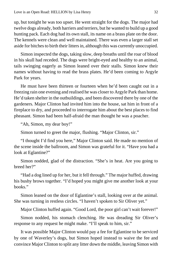up, but tonight he was too upset. He went straight for the dogs. The major had twelve dogs already, both harriers and terriers, but he wanted to build up a good hunting pack. Each dog had its own stall, its name on a brass plate on the door. The kennels were clean and well maintained. There was even a larger stall set aside for bitches to birth their litters in, although this was currently unoccupied.

Simon inspected the dogs, taking slow, deep breaths until the roar of blood in his skull had receded. The dogs were bright-eyed and healthy to an animal, tails swinging eagerly as Simon leaned over their stalls. Simon knew their names without having to read the brass plates. He'd been coming to Argyle Park for years.

He must have been thirteen or fourteen when he'd been caught out in a freezing rain one evening and realised he was closer to Argyle Park than home. He'd taken shelter in the outbuildings, and been discovered there by one of the gardeners. Major Clinton had invited him into the house, sat him in front of a fireplace to dry, and proceeded to interrogate him about the best places to find pheasant. Simon had been half-afraid the man thought he was a poacher.

"Ah, Simon, my dear boy!"

Simon turned to greet the major, flushing. "Major Clinton, sir."

"I thought I'd find you here," Major Clinton said. He made no mention of the scene inside the ballroom, and Simon was grateful for it. "Have you had a look at Eglantine?"

Simon nodded, glad of the distraction. "She's in heat. Are you going to breed her?"

"Had a dog lined up for her, but it fell through." The major huffed, drawing his bushy brows together. "I'd hoped you might give me another look at your books."

Simon leaned on the door of Eglantine's stall, looking over at the animal. She was turning in restless circles. "I haven't spoken to Sir Oliver yet."

Major Clinton huffed again. "Good Lord, the poor girl can't wait forever!"

Simon nodded, his stomach clenching. He was dreading Sir Oliver's response to any request he might make. "I'll speak to him, sir."

It was possible Major Clinton would pay a fee for Eglantine to be serviced by one of Waverley's dogs, but Simon hoped instead to waive the fee and convince Major Clinton to split any litter down the middle, leaving Simon with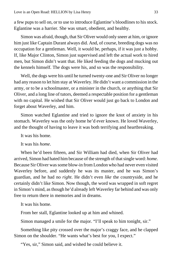a few pups to sell on, or to use to introduce Eglantine's bloodlines to his stock. Eglantine was a harrier. She was smart, obedient, and healthy.

Simon was afraid, though, that Sir Oliver would only sneer at him, or ignore him just like Captain Durant always did. And, of course, breeding dogs was no occupation for a gentleman. Well, it would be, perhaps, if it was just a hobby. If, like Major Clinton, Simon just supervised and left the actual work to hired men, but Simon didn't want that. He liked feeding the dogs and mucking out the kennels himself. The dogs were his, and so was the responsibility.

Well, the dogs were his until he turned twenty-one and Sir Oliver no longer had any reason to let him stay at Waverley. He didn't want a commission in the army, or to be a schoolmaster, or a minister in the church, or anything that Sir Oliver, and a long line of tutors, deemed a respectable position for a gentleman with no capital. He wished that Sir Oliver would just go back to London and forget about Waverley, and him.

Simon watched Eglantine and tried to ignore the knot of anxiety in his stomach. Waverley was the only home he'd ever known. He loved Waverley, and the thought of having to leave it was both terrifying and heartbreaking.

It was his home.

It was his *home*.

When he'd been fifteen, and Sir William had died, when Sir Oliver had arrived, Simon had hated him because of the strength of that single word: *home.* Because Sir Oliver was some blow-in from London who had never even visited Waverley before, and suddenly he was its master, and he was Simon's guardian, and he had no *right*. He didn't even *like* the countryside, and he certainly didn't like Simon. Now though, the word was wrapped in soft regret in Simon's mind, as though he'd already left Waverley far behind and was only free to return there in memories and in dreams.

It was his home.

From her stall, Eglantine looked up at him and whined.

Simon managed a smile for the major. "I'll speak to him tonight, sir."

Something like pity crossed over the major's craggy face, and he clapped Simon on the shoulder. "He wants what's best for you, I expect."

"Yes, sir," Simon said, and wished he could believe it.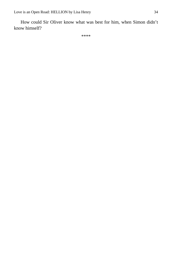How could Sir Oliver know what was best for him, when Simon didn't know himself?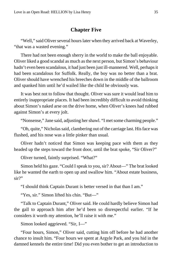#### **Chapter Five**

<span id="page-34-0"></span>"Well," said Oliver several hours later when they arrived back at Waverley, "that was a wasted evening."

There had not been enough sherry in the world to make the ball enjoyable. Oliver liked a good scandal as much as the next person, but Simon's behaviour hadn't even been scandalous, it had just been just ill-mannered. Well, perhaps it had been scandalous for Suffolk. Really, the boy was no better than a brat. Oliver should have wrenched his breeches down in the middle of the ballroom and spanked him until he'd wailed like the child he obviously was.

It was best not to follow that thought. Oliver was sure it would lead him to entirely inappropriate places. It had been incredibly difficult to avoid thinking about Simon's naked arse on the drive home, when Oliver's knees had rubbed against Simon's at every jolt.

"Nonsense," Jane said, adjusting her shawl. "I met some charming people."

"Oh, quite," Nicholas said, clambering out of the carriage last. His face was flushed, and his nose was a little pinker than usual.

Oliver hadn't noticed that Simon was keeping pace with them as they headed up the steps toward the front door, until the brat spoke, "Sir Oliver?"

Oliver turned, faintly surprised. "What?"

Simon held his gaze. "Could I speak to you, sir? About—" The brat looked like he wanted the earth to open up and swallow him. "About estate business, sir?"

"I should think Captain Durant is better versed in that than I am."

"Yes, sir." Simon lifted his chin. "But—"

"Talk to Captain Durant," Oliver said. He could hardly believe Simon had the gall to approach him after he'd been so disrespectful earlier. "If he considers it worth my attention, he'll raise it with me."

Simon looked aggrieved. "Sir, I—"

"Four hours, Simon," Oliver said, cutting him off before he had another chance to insult him. "Four hours we spent at Argyle Park, and you hid in the damned kennels the entire time! Did you even bother to get an introduction to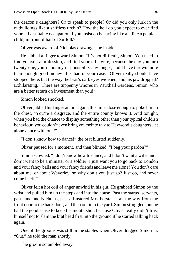the deacon's daughters? Or to speak to people? Or did you only lurk in the outbuildings like a shiftless urchin? How the hell do you expect to ever find yourself a suitable occupation if you insist on behaving like a—like a petulant child, in front of half of Suffolk?"

Oliver was aware of Nicholas drawing Jane inside.

He jabbed a finger toward Simon. "It's not difficult, Simon. You need to find yourself a profession, and find yourself a wife, because the day you turn twenty-one, you're not my responsibility any longer, and I have thrown more than enough good money after bad in your case." Oliver really should have stopped there, but the way the brat's dark eyes widened, and his jaw dropped? Exhilarating. "There are tuppenny whores in Vauxhall Gardens, Simon, who are a better return on investment than you!"

Simon looked shocked.

Oliver jabbed his finger at him again, this time close enough to poke him in the chest. "You're a disgrace, and the entire county knows it. And tonight, when you had the chance to display something other than your typical childish behaviour, you couldn't even bring yourself to talk to Haywood's daughters, let alone dance with one!"

"I don't know how to dance!" the brat blurted suddenly.

Oliver paused for a moment, and then blinked. "I beg your pardon?"

Simon scowled. "I don't know how to dance, and I don't want a wife, and I don't want to be a minister or a soldier! I just want you to go back to London and your fancy balls and your fancy friends and leave me alone! You don't care about me, or about Waverley, so why don't you just go? Just *go*, and never come back!"

Oliver felt a hot coil of anger unwind in his gut. He grabbed Simon by the wrist and pulled him up the steps and into the house. Past the started servants, past Jane and Nicholas, past a flustered Mrs Forster… all the way from the front door to the back door, and then out into the yard. Simon struggled, but he had the good sense to keep his mouth shut, because Oliver really didn't trust himself not to slam the brat head first into the ground if he started talking back again.

One of the grooms was still in the stables when Oliver dragged Simon in. "Out," he told the man shortly.

The groom scrambled away.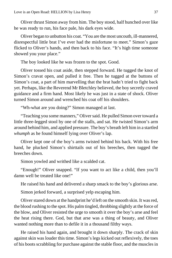Oliver thrust Simon away from him. The boy stood, half hunched over like he was ready to run, his face pale, his dark eyes wide.

Oliver began to unbutton his coat. "You are the most uncouth, ill-mannered, disrespectful little brat I've ever had the misfortune to meet." Simon's gaze flicked to Oliver's hands, and then back to his face. "It's high time someone showed you your place."

The boy looked like he was frozen to the spot. Good.

Oliver tossed his coat aside, then stepped forward. He tugged the knot of Simon's cravat open, and pulled it free. Then he tugged at the buttons of Simon's coat, a part of him marvelling that the brat hadn't tried to fight back yet. Perhaps, like the Reverend Mr Bletchley believed, the boy secretly craved guidance and a firm hand. Most likely he was just in a state of shock. Oliver turned Simon around and wrenched his coat off his shoulders.

"Wh-what are you doing?" Simon managed at last.

"Teaching you some manners," Oliver said. He pulled Simon over toward a little three-legged stool by one of the stalls, and sat. He twisted Simon's arm around behind him, and applied pressure. The boy's breath left him in a startled *whumph* as he found himself lying over Oliver's lap.

Oliver kept one of the boy's arms twisted behind his back. With his free hand, he plucked Simon's shirttails out of his breeches, then tugged the breeches down.

Simon yowled and writhed like a scalded cat.

"Enough!" Oliver snapped. "If you want to act like a child, then you'll damn well be treated like one!"

He raised his hand and delivered a sharp smack to the boy's glorious arse.

Simon jerked forward, a surprised yelp escaping him.

Oliver stared down at the handprint he'd left on the smooth skin. It was red, the blood rushing to the spot. His palm tingled, throbbing slightly at the force of the blow, and Oliver resisted the urge to smooth it over the boy's arse and feel the heat rising there. God, but that arse was a thing of beauty, and Oliver wanted nothing more than to defile it in a thousand filthy ways.

He raised his hand again, and brought it down sharply. The crack of skin against skin was louder this time. Simon's legs kicked out reflexively, the toes of his boots scrabbling for purchase against the stable floor, and the muscles in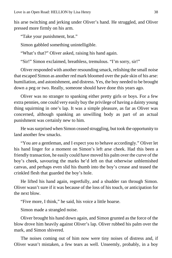his arse twitching and jerking under Oliver's hand. He struggled, and Oliver pressed more firmly on his arm.

"Take your punishment, brat."

Simon gabbled something unintelligible.

"What's that?" Oliver asked, raising his hand again.

"Sir!" Simon exclaimed, breathless, tremulous. "I'm sorry, sir!"

Oliver responded with another resounding smack, relishing the small noise that escaped Simon as another red mark bloomed over the pale skin of his arse: humiliation, and astonishment, and distress. Yes, the boy needed to be brought down a peg or two. Really, someone should have done this years ago.

Oliver was no stranger to spanking either pretty girls or boys. For a few extra pennies, one could very easily buy the privilege of having a dainty young thing squirming in one's lap. It was a simple pleasure, as far as Oliver was concerned, although spanking an unwilling body as part of an actual punishment was certainly new to him.

He was surprised when Simon ceased struggling, but took the opportunity to land another few smacks.

"You are a gentleman, and I expect you to behave accordingly." Oliver let his hand linger for a moment on Simon's left arse cheek. Had this been a friendly transaction, he easily could have moved his palm over the curve of the boy's cheek, savouring the marks he'd left on that otherwise unblemished canvas, and perhaps even slid his thumb into the boy's crease and teased the crinkled flesh that guarded the boy's hole.

He lifted his hand again, regretfully, and a shudder ran through Simon. Oliver wasn't sure if it was because of the loss of his touch, or anticipation for the next blow.

"Five more, I think," he said, his voice a little hoarse.

Simon made a strangled noise.

Oliver brought his hand down again, and Simon grunted as the force of the blow drove him heavily against Oliver's lap. Oliver rubbed his palm over the mark, and Simon shivered.

The noises coming out of him now were tiny noises of distress and, if Oliver wasn't mistaken, a few tears as well. Unseemly, probably, in a boy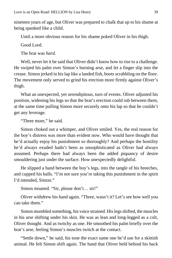nineteen years of age, but Oliver was prepared to chalk that up to his shame at being spanked like a child.

Until a more obvious reason for his shame poked Oliver in his thigh.

Good Lord.

The brat was *hard*.

Well, never let it be said that Oliver didn't know how to rise to a challenge. He swiped his palm over Simon's burning arse, and let a finger slip into the crease. Simon jerked in his lap like a landed fish, boots scrabbling on the floor. The movement only served to grind his erection more firmly against Oliver's thigh.

What an unexpected, yet serendipitous, turn of events. Oliver adjusted his position, widening his legs so that the brat's erection could rub between them, at the same time pulling Simon more securely onto his lap so that he couldn't get any leverage.

"Three more," he said.

Simon choked out a whimper, and Oliver smiled. Yes, the real reason for the boy's distress was more than evident now. Who would have thought that he'd actually enjoy his punishment so thoroughly? And perhaps the hostility he'd always exuded hadn't been as unsophisticated as Oliver had always assumed. Perhaps there had always been the added piquancy of desire smouldering just under the surface. How unexpectedly delightful.

He slipped a hand between the boy's legs, into the tangle of his breeches, and cupped his balls. "I'm not sure you're taking this punishment in the spirit I'd intended, Simon."

Simon moaned. "Sir, please don't… sir!"

Oliver withdrew his hand again. "Three, wasn't it? Let's see how well you can take them."

Simon mumbled something, his voice strained. His legs shifted, the muscles in his arse shifting under his skin. He was as lean and long-legged as a colt, Oliver thought. And as twitchy as one. He smoothed his palm briefly over the brat's arse, feeling Simon's muscles twitch at the contact.

"Settle down," he said, his tone the exact same one he'd use for a skittish animal. He felt Simon shift again. The hand that Oliver held behind his back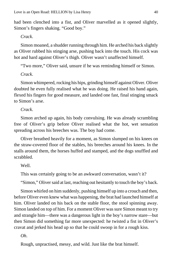had been clenched into a fist, and Oliver marvelled as it opened slightly, Simon's fingers shaking. "Good boy."

#### *Crack*.

Simon moaned, a shudder running through him. He arched his back slightly as Oliver rubbed his stinging arse, pushing back into the touch. His cock was hot and hard against Oliver's thigh. Oliver wasn't unaffected himself.

"Two more," Oliver said, unsure if he was reminding himself or Simon.

#### *Crack*.

Simon whimpered, rocking his hips, grinding himself against Oliver. Oliver doubted he even fully realised what he was doing. He raised his hand again, flexed his fingers for good measure, and landed one fast, final stinging smack to Simon's arse.

#### *Crack*.

Simon arched up again, his body convulsing. He was already scrambling free of Oliver's grip before Oliver realised what the hot, wet sensation spreading across his breeches was. The boy had come.

Oliver breathed heavily for a moment, as Simon slumped on his knees on the straw-covered floor of the stables, his breeches around his knees. In the stalls around them, the horses huffed and stamped, and the dogs snuffled and scrabbled.

#### Well.

This was certainly going to be an awkward conversation, wasn't it?

"Simon," Oliver said at last, reaching out hesitantly to touch the boy's back.

Simon whirled on him suddenly, pushing himself up into a crouch and then, before Oliver even knew what was happening, the brat had launched himself at him. Oliver landed on his back on the stable floor, the stool spinning away. Simon landed on top of him. For a moment Oliver was sure Simon meant to try and strangle him—there was a dangerous light in the boy's narrow stare—but then Simon did something far more unexpected: he twisted a fist in Oliver's cravat and jerked his head up so that he could swoop in for a rough kiss.

#### *Oh*.

Rough, unpractised, messy, and wild. Just like the brat himself.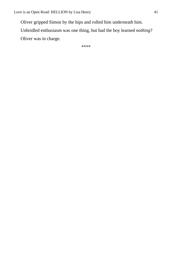Oliver gripped Simon by the hips and rolled him underneath him.

Unbridled enthusiasm was one thing, but had the boy learned *nothing*?

Oliver was in charge.

\*\*\*\*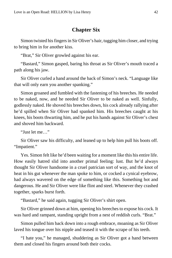#### **Chapter Six**

<span id="page-41-0"></span>Simon twisted his fingers in Sir Oliver's hair, tugging him closer, and trying to bring him in for another kiss.

"Brat," Sir Oliver growled against his ear.

"Bastard," Simon gasped, baring his throat as Sir Oliver's mouth traced a path along his jaw.

Sir Oliver curled a hand around the back of Simon's neck. "Language like that will only earn you another spanking."

Simon groaned and fumbled with the fastening of his breeches. He needed to be naked, now, and he needed Sir Oliver to be naked as well. Sinfully, godlessly naked. He shoved his breeches down, his cock already rallying after he'd spilled when Sir Oliver had spanked him. His breeches caught at his knees, his boots thwarting him, and he put his hands against Sir Oliver's chest and shoved him backward.

"Just let me…"

Sir Oliver saw his difficulty, and leaned up to help him pull his boots off. "Impatient."

Yes. Simon felt like he'd been waiting for a moment like this his entire life. How easily hatred slid into another primal feeling: lust. But he'd always thought Sir Oliver handsome in a cruel patrician sort of way, and the knot of heat in his gut whenever the man spoke to him, or cocked a cynical eyebrow, had always wavered on the edge of something like this. Something hot and dangerous. He and Sir Oliver were like flint and steel. Whenever they crashed together, sparks burst forth.

"Bastard," he said again, tugging Sir Oliver's shirt open.

Sir Oliver grinned down at him, opening his breeches to expose his cock. It was hard and rampant, standing upright from a nest of reddish curls. "Brat."

Simon pulled him back down into a rough embrace, moaning as Sir Oliver laved his tongue over his nipple and teased it with the scrape of his teeth.

"I hate you," he managed, shuddering as Sir Oliver got a hand between them and closed his fingers around both their cocks.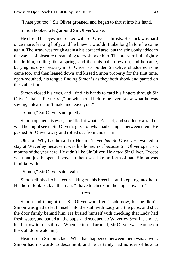"I hate you too," Sir Oliver groaned, and began to thrust into his hand.

Simon hooked a leg around Sir Oliver's arse.

He closed his eyes and rocked with Sir Oliver's thrusts. His cock was hard once more, leaking hotly, and he knew it wouldn't take long before he came again. The straw was rough against his abraded arse, but the sting only added to the waves of pleasure threatening to crash over him. The pressure built tightly inside him, coiling like a spring, and then his balls drew up, and he came, burying his cry of ecstasy in Sir Oliver's shoulder. Sir Oliver shuddered as he came too, and then leaned down and kissed Simon properly for the first time, open-mouthed, his tongue finding Simon's as they both shook and panted on the stable floor.

Simon closed his eyes, and lifted his hands to card his fingers through Sir Oliver's hair. "Please, sir," he whispered before he even knew what he was saying, "please don't make me leave you."

"Simon," Sir Oliver said quietly.

Simon opened his eyes, horrified at what he'd said, and suddenly afraid of what he might see in Sir Oliver's gaze; of what had changed between them. He pushed Sir Oliver away and rolled out from under him.

Oh God. Why had he said it? He didn't even *like* Sir Oliver. He wanted to stay at Waverley because it was his home, not because Sir Oliver spent six months of the year here. He didn't like Sir Oliver. He *hated* Sir Oliver. Except what had just happened between them was like no form of hate Simon was familiar with.

"Simon," Sir Oliver said again.

Simon climbed to his feet, shaking out his breeches and stepping into them. He didn't look back at the man. "I have to check on the dogs now, sir."

\*\*\*\*

Simon had thought that Sir Oliver would go inside now, but he didn't. Simon was glad to let himself into the stall with Lady and the pups, and shut the door firmly behind him. He busied himself with checking that Lady had fresh water, and patted all the pups, and scooped up Waverley Sextillis and let her burrow into his throat. When he turned around, Sir Oliver was leaning on the stall door watching.

Heat rose in Simon's face. What had happened between them was… well, Simon had no words to describe it, and he certainly had no idea of how to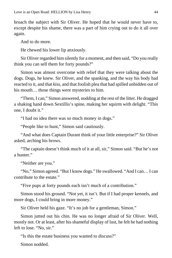broach the subject with Sir Oliver. He hoped that he would never have to, except despite his shame, there was a part of him crying out to do it all over again.

And to do more.

He chewed his lower lip anxiously.

Sir Oliver regarded him silently for a moment, and then said, "Do you really think you can sell them for forty pounds?"

Simon was almost overcome with relief that they were talking about the dogs. Dogs, he knew. Sir Oliver, and the spanking, and the way his body had reacted to it, and that *kiss,* and that foolish plea that had spilled unbidden out of his mouth… those things were mysteries to him.

"Them, I can," Simon answered, nodding at the rest of the litter. He dragged a shaking hand down Sextillis's spine, making her squirm with delight. "This one, I doubt it."

"I had no idea there was so much money in dogs."

"People like to hunt," Simon said cautiously.

"And what does Captain Durant think of your little enterprise?" Sir Oliver asked, arching his brows.

"The captain doesn't think much of it at all, sir," Simon said. "But he's not a hunter."

"Neither are you."

"No," Simon agreed. "But I know dogs." He swallowed. "And I can… I can contribute to the estate."

"Five pups at forty pounds each isn't much of a contribution."

Simon stood his ground. "Not yet, it isn't. But if I had proper kennels, and more dogs, I could bring in more money."

Sir Oliver held his gaze. "It's no job for a gentleman, Simon."

Simon jutted out his chin. He was no longer afraid of Sir Oliver. Well, mostly not. Or at least, after his shameful display of lust, he felt he had nothing left to lose. "No, sir."

"Is this the estate business you wanted to discuss?"

Simon nodded.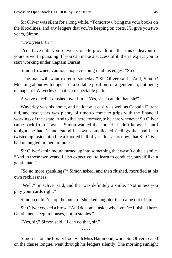Sir Oliver was silent for a long while. "Tomorrow, bring me your books on the bloodlines, and any ledgers that you're keeping on costs. I'll give you two years, Simon."

"Two years, sir?"

"You have until you're twenty-one to prove to me that this endeavour of yours is worth pursuing. If you can make a success of it, then I expect you to start working under Captain Durant."

Simon frowned, cautious hope creeping in at his edges. "Sir?"

"The man will want to retire someday," Sir Oliver said. "And, Simon? Mucking about with dogs isn't a suitable position for a gentleman, but being manager of Waverley? That's a respectable path."

A wave of relief crashed over him. "Yes, sir. I can do that, sir!"

Waverley was his home, and he knew it easily as well as Captain Durant did, and two years was plenty of time to come to grips with the financial workings of the estate. And to live here, forever, to be here whenever Sir Oliver came back from Town… Simon wanted that too. He hadn't known it until tonight; he hadn't understood his own complicated feelings that had been twisted up inside him like a knotted ball of yarn for years now, that Sir Oliver had untangled in mere minutes.

Sir Oliver's thin mouth turned up into something that wasn't quite a smile. "And in those two years, I also expect you to learn to conduct yourself like a gentleman."

"So no more spankings?" Simon asked, and then flushed, mortified at his own recklessness.

"Well," Sir Oliver said, and that was definitely a smile. "Not unless you play your cards right."

Simon couldn't stop the burst of shocked laughter that came out of him.

Sir Oliver cocked a brow. "And do come inside when you're finished here. Gentlemen sleep in houses, not in stables."

"Yes, sir," Simon said. "I can do that, sir."

\*\*\*\*

Simon sat on the library floor with Miss Hammond, while Sir Oliver, seated on the chaise longue, went through his ledgers silently. The morning sunlight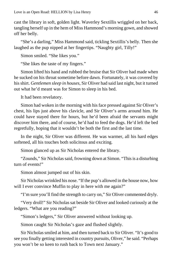cast the library in soft, golden light. Waverley Sextillis wriggled on her back, tangling herself up in the hem of Miss Hammond's morning gown, and showed off her belly.

"She's a darling," Miss Hammond said, tickling Sextillis's belly. Then she laughed as the pup nipped at her fingertips. "Naughty girl, Tilly!"

Simon smiled. "She likes you."

"She likes the taste of my fingers."

Simon lifted his hand and rubbed the bruise that Sir Oliver had made when he sucked on his throat sometime before dawn. Fortunately, it was covered by his shirt. *Gentlemen sleep in houses*, Sir Oliver had said last night, but it turned out what he'd meant was for Simon to sleep in his bed.

It had been revelatory.

Simon had woken in the morning with his face pressed against Sir Oliver's chest, his lips just above his clavicle, and Sir Oliver's arms around him. He could have stayed there for hours, but he'd been afraid the servants might discover him there, and of course, he'd had to feed the dogs. He'd left the bed regretfully, hoping that it wouldn't be both the first and the last time.

In the night, Sir Oliver was different. He was warmer, all his hard edges softened, all his touches both solicitous and exciting.

Simon glanced up as Sir Nicholas entered the library.

"Zounds," Sir Nicholas said, frowning down at Simon. "This is a disturbing turn of events!"

Simon almost jumped out of his skin.

Sir Nicholas wrinkled his nose. "If the pup's allowed in the house now, how will I ever convince Muffin to play in here with me again?"

"I'm sure you'll find the strength to carry on," Sir Oliver commented dryly.

"Very droll!" Sir Nicholas sat beside Sir Oliver and looked curiously at the ledgers. "What are you reading?"

"Simon's ledgers," Sir Oliver answered without looking up.

Simon caught Sir Nicholas's gaze and flushed slightly.

Sir Nicholas smiled at him, and then turned back to Sir Oliver. "It's good to see you finally getting interested in country pursuits, Oliver," he said. "Perhaps you won't be so keen to rush back to Town next January."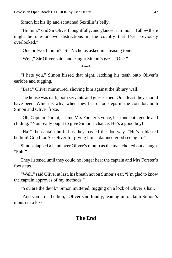Simon bit his lip and scratched Sextillis's belly.

"Hmmm," said Sir Oliver thoughtfully, and glanced at Simon. "I allow there might be one or two distractions in the country that I've previously overlooked."

"One or two, hmmm?" Sir Nicholas asked in a teasing tone.

"Well," Sir Oliver said, and caught Simon's gaze. "One."

\*\*\*\*

"I hate you," Simon hissed that night, latching his teeth onto Oliver's earlobe and tugging.

"Brat," Oliver murmured, shoving him against the library wall.

The house was dark, both servants and guests abed. Or at least they should have been. Which is why, when they heard footsteps in the corridor, both Simon and Oliver froze.

"Oh, Captain Durant," came Mrs Forster's voice, her tone both gentle and chiding. "You really ought to give Simon a chance. He's a good boy!"

"Ha!" the captain huffed as they passed the doorway. "He's a blasted hellion! Good for Sir Oliver for giving him a damned good seeing to!"

Simon slapped a hand over Oliver's mouth as the man choked out a laugh. "Shh!"

They listened until they could no longer hear the captain and Mrs Forster's footsteps.

"Well," said Oliver at last, his breath hot on Simon's ear. "I'm glad to know the captain approves of my methods."

"You are the devil," Simon muttered, tugging on a lock of Oliver's hair.

"And you are a hellion," Oliver said fondly, leaning in to claim Simon's mouth in a kiss.

#### **The End**